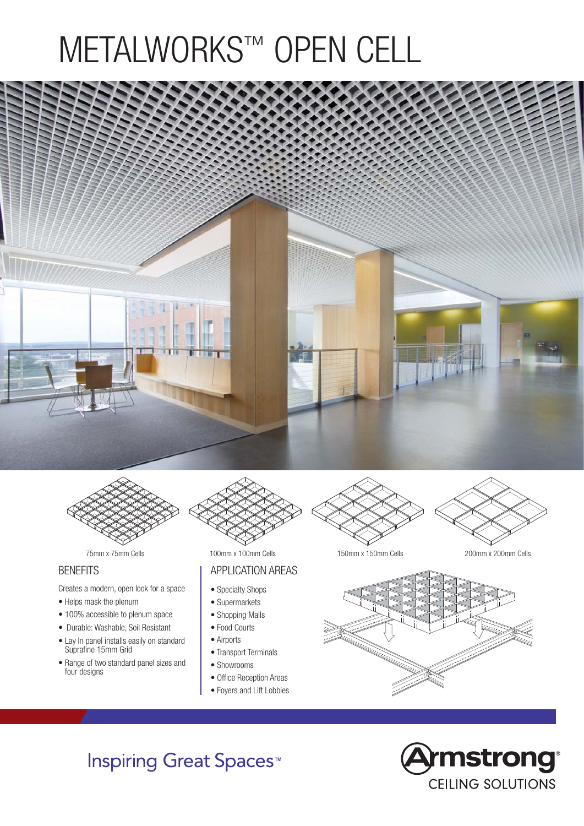# METALWORKS™ OPEN CELL





#### **BENEFITS**

Creates a modern, open look for a space

- Helps mask the plenum
- 100% accessible to plenum space
- Durable: Washable, Soil Resistant
- Lay In panel installs easily on standard Suprafine 15mm Grid
- Range of two standard panel sizes and four designs



#### APPLICATION AREAS

- Specialty Shops
- Supermarkets
- Shopping Malls
- Food Courts
- Airports
- Transport Terminals
- Showrooms
- Office Reception Areas
- Foyers and Lift Lobbies

75mm x 75mm Cells 100mm x 100mm Cells 150mm x 150mm Cells 200mm x 200mm Cells



**Inspiring Great Spaces<sup>™</sup>**